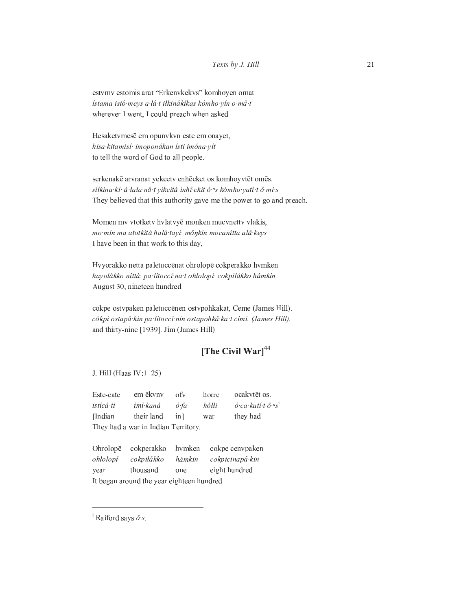estvmv estomis arat "Erkenvkekvs" komhoyen omat ístama istô meys a lâ t ilkinákíkas kómho yín o mâ t wherever I went, I could preach when asked

Hesaketvmesē em opunvkvn este em onayet, hisa kitamisí imoponákan ísti imóna yít to tell the word of God to all people.

serkenakē arvranat yekcetv enhēcket os komhoyvtēt omēs. síłkina kí á lala nâ tyikcitá inhî ckitó "s kómho yatí tô mi s They believed that this authority gave me the power to go and preach.

Momen mv vtotketv hvlatvyē monken mucvnettv vlakis, mo mín ma atotkitá halâ tayi· mônkin mocanítta alâ keys I have been in that work to this day,

Hvyorakko netta paletuccēnat ohrolopē cokperakko hvmken havolákko nittá pa litoccí na t ohlolopí cokpilákko hámkin August 30, nineteen hundred

cokpe ostvpaken paletuccēnen ostvpohkakat, Ceme (James Hill). cókpi ostapâ kin pa litoccî nin ostapohkâ ka t cími. (James Hill). and thirty-nine [1939]. Jim (James Hill)

## [The Civil War] $44$

J. Hill (Haas IV:1-25)

ocakvtēt os. Este-cate em ēkvnv ofv horre isticá ti  $\acute{o}$  ca kati t  $\hat{o}$  <sup>n</sup>s<sup>1</sup> imi kaná ó fa  $h\acute{o}tli$ their land they had [Indian] in] war They had a war in Indian Territory.

Ohrolopē cokpe cenvpaken cokperakko hvmken ohłolopí· cokpiłákko hámkin cokpicinapâ kin thousand eight hundred year one It began around the year eighteen hundred

<sup>&</sup>lt;sup>i</sup> Raiford says  $\hat{\sigma}$  s.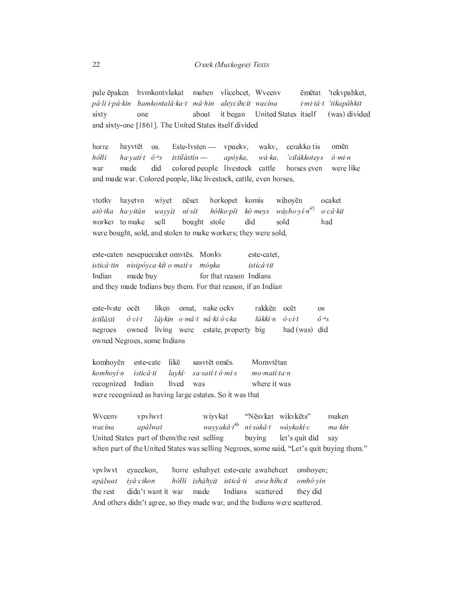mahen vlicehcet, Wvcenv pale ēpaken hvmkontvlakat ēmētat 'tekvpahket, pá li i pá kin hamkontalâ ka t mâ hin aleycíhcit wacína i mi tá t 'tikapáhkit about it began United States itself (was) divided sixty one and sixty-one [1861]. The United States itself divided

horre hayvtēt os. Este-lysten vpuekv, waky. cerakko tis omēn hółłi ha yati t $\hat{o}$ <sup>n</sup>s  $i$ stilástin  $$ apóyka, wá ka, 'ciłákkoteys  $\acute{o}$  mi n did made colored people livestock cattle war horses even were like and made war. Colored people, like livestock, cattle, even horses,

vtotky hayetvn wivet nēset horkopet komis wihoyēn ocaket  $w$ áyho yí  $n^{45}$ ató tka ha vitán hółko pít kô meys  $o$ ·câ·kit wayyit ni sít worker to make sell bought stole did sold had were bought, sold, and stolen to make workers; they were sold,

este-caten nesepuecaket omvtēs. Monkv este-catet, isticá tin nisipóyca kít o matí s mónka isticá tit Indian made buy for that reason Indians and they made Indians buy them. For that reason, if an Indian

este-lyste ocēt liken omat, nake ockv rakkēn ocēt **OS** istilásti  $\acute{o}$  ci t lâvkin o mâ t nâ ki ó cka łákki n  $\acute{o}$  ci t  $\hat{o}^{n} s$ owned living were negroes estate, property big had (was) did owned Negroes, some Indians

komhoyēn likē sasvtēt omēs. Momvtētan este-cate mo matí ta n komhoyí n isticá ti lavkí<sup>.</sup> sa satí tô mi s Indian lived where it was recognized was were recognized as having large estates. So it was that

Wyceny vpvlwvt wiyvkat "Nēsvkat wikvkēts" maken wayyakâ t<sup>46</sup> wacina apálwat ni sakâ t wávkakí c ma kin United States part of them/the rest selling buying let's quit did say when part of the United States was selling Negroes, some said, "Let's quit buying them."

horre eshahyet este-cate awahehcet vpvlwvt eyacekon, omhoyen; isháhyit isticáti apálwat ivá cikon  $h\acute{o}Hi$ awa hihcit omhô vin didn't want it war made the rest Indians scattered they did And others didn't agree, so they made war, and the Indians were scattered.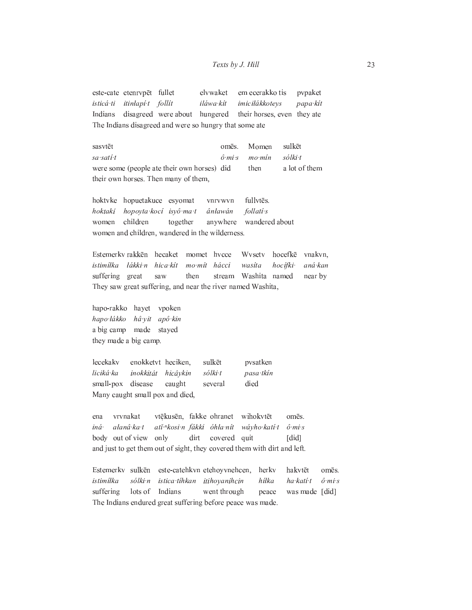este-cate etenrvpēt fullet elvwaket em ecerakko tis pvpaket isticá ti itinłapí t follít iláwa kít imiciłákkotevs papa kít disagreed were about hungered their horses, even they ate Indians The Indians disagreed and were so hungry that some ate

sasvtēt omēs. Momen sulkēt  $\hat{o}$   $mi$  s  $mo·min$ sólki t sa satí t were some (people ate their own horses) did then a lot of them their own horses. Then many of them,

fullvtēs. hoktvke hopuetakuce esyomat vnrvwyn hopoyta kocí isyô ma t follati s hoktakí ânławán anywhere wandered about women children together women and children, wandered in the wilderness.

Estemerky rakken hecaket momet hycce Wysety hocefkē vnakvn. istimílka lákki n hica kít mo mít hácci wasita hocífki· aná kan Washita named suffering great saw then stream near by They saw great suffering, and near the river named Washita,

hapo-rakko hayet vpoken hâ yit apô kin hapo lákko a big camp made stayed they made a big camp.

lecekakv sulkēt enokketyt heciken, pvsatken liciká ka inokkitát hicâykin sólki t pasa tkín small-pox disease caught died several Many caught small pox and died,

vtēkusēn, fakke ohranet vrvnakat wihokvtēt ena omēs. iná· alanâ ka t ati "kosi n fákki óhla nít wávho katí t  $\hat{o}$  mis body out of view only dirt covered quit  $\lceil$ did $\rceil$ and just to get them out of sight, they covered them with dirt and left.

Estemerky sulkēn este-catehkvn etehoyvnehcen, herkv hakvtēt omēs. sólki n *istimíłka* istica tihkan itihoyanihcin hiłka ha kati t  $\hat{o}$  mis suffering lots of Indians went through peace was made [did] The Indians endured great suffering before peace was made.